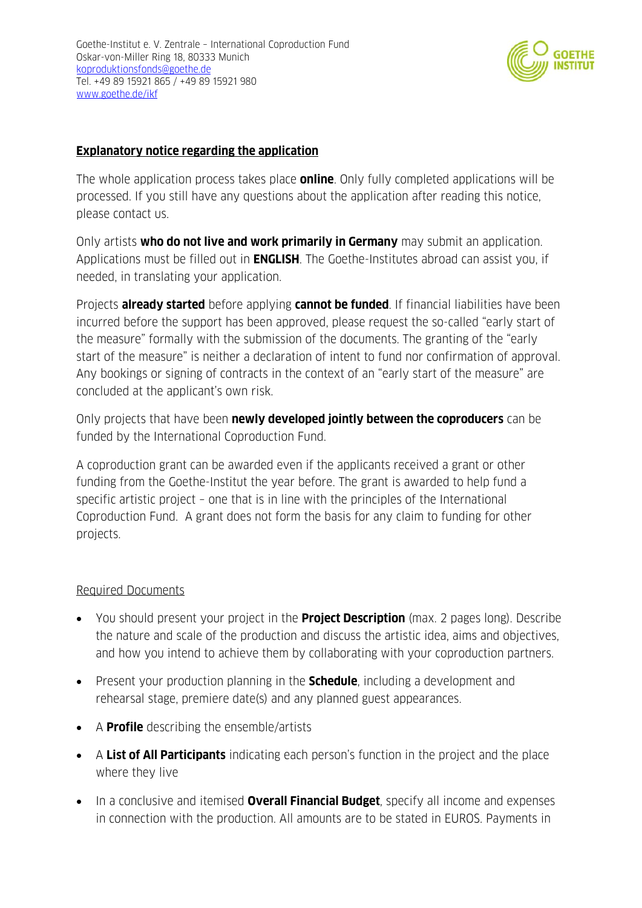

## **Explanatory notice regarding the application**

The whole application process takes place **online**. Only fully completed applications will be processed. If you still have any questions about the application after reading this notice, please contact us.

Only artists **who do not live and work primarily in Germany** may submit an application. Applications must be filled out in **ENGLISH**. The Goethe-Institutes abroad can assist you, if needed, in translating your application.

Projects **already started** before applying **cannot be funded**. If financial liabilities have been incurred before the support has been approved, please request the so-called "early start of the measure" formally with the submission of the documents. The granting of the "early start of the measure" is neither a declaration of intent to fund nor confirmation of approval. Any bookings or signing of contracts in the context of an "early start of the measure" are concluded at the applicant's own risk.

Only projects that have been **newly developed jointly between the coproducers** can be funded by the International Coproduction Fund.

A coproduction grant can be awarded even if the applicants received a grant or other funding from the Goethe-Institut the year before. The grant is awarded to help fund a specific artistic project – one that is in line with the principles of the International Coproduction Fund. A grant does not form the basis for any claim to funding for other projects.

## Required Documents

- You should present your project in the **Project Description** (max. 2 pages long). Describe the nature and scale of the production and discuss the artistic idea, aims and objectives, and how you intend to achieve them by collaborating with your coproduction partners.
- Present your production planning in the **Schedule**, including a development and rehearsal stage, premiere date(s) and any planned guest appearances.
- A **Profile** describing the ensemble/artists
- A **List of All Participants** indicating each person's function in the project and the place where they live
- In a conclusive and itemised **Overall Financial Budget**, specify all income and expenses in connection with the production. All amounts are to be stated in EUROS. Payments in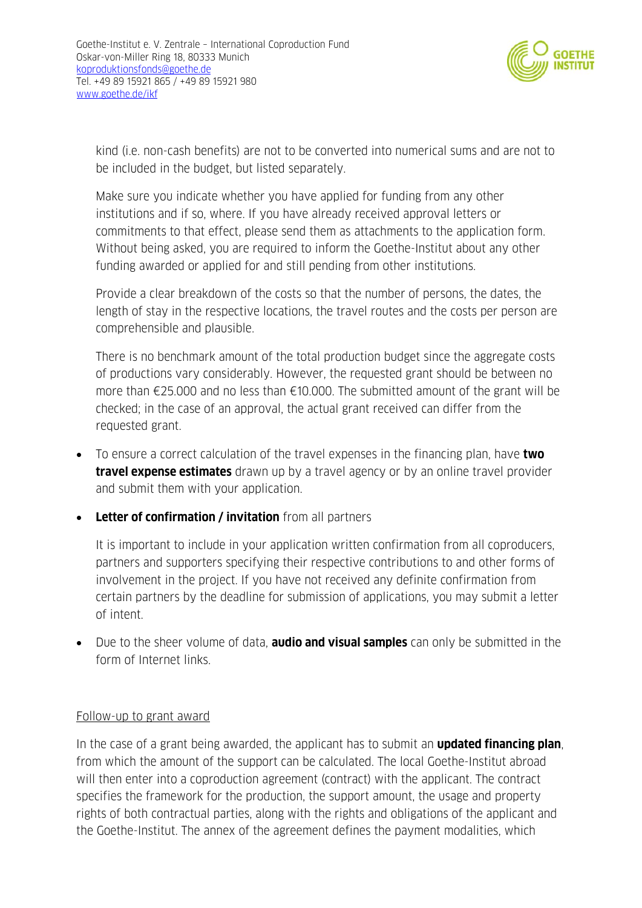

kind (i.e. non-cash benefits) are not to be converted into numerical sums and are not to be included in the budget, but listed separately.

Make sure you indicate whether you have applied for funding from any other institutions and if so, where. If you have already received approval letters or commitments to that effect, please send them as attachments to the application form. Without being asked, you are required to inform the Goethe-Institut about any other funding awarded or applied for and still pending from other institutions.

Provide a clear breakdown of the costs so that the number of persons, the dates, the length of stay in the respective locations, the travel routes and the costs per person are comprehensible and plausible.

There is no benchmark amount of the total production budget since the aggregate costs of productions vary considerably. However, the requested grant should be between no more than €25.000 and no less than €10.000. The submitted amount of the grant will be checked; in the case of an approval, the actual grant received can differ from the requested grant.

- To ensure a correct calculation of the travel expenses in the financing plan, have **two travel expense estimates** drawn up by a travel agency or by an online travel provider and submit them with your application.
- **Letter of confirmation / invitation** from all partners

It is important to include in your application written confirmation from all coproducers, partners and supporters specifying their respective contributions to and other forms of involvement in the project. If you have not received any definite confirmation from certain partners by the deadline for submission of applications, you may submit a letter of intent.

 Due to the sheer volume of data, **audio and visual samples** can only be submitted in the form of Internet links.

## Follow-up to grant award

In the case of a grant being awarded, the applicant has to submit an **updated financing plan**, from which the amount of the support can be calculated. The local Goethe-Institut abroad will then enter into a coproduction agreement (contract) with the applicant. The contract specifies the framework for the production, the support amount, the usage and property rights of both contractual parties, along with the rights and obligations of the applicant and the Goethe-Institut. The annex of the agreement defines the payment modalities, which